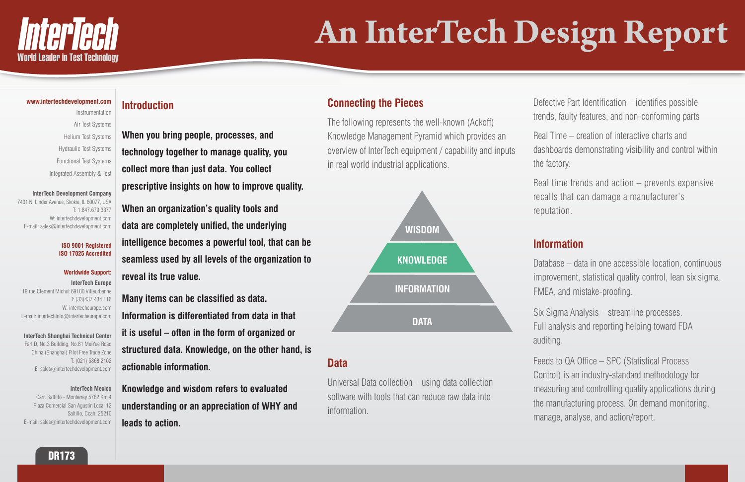

# **An InterTech Design Report**



### **www.intertechdevelopment.com**

7401 N. Linder Avenue, Skokie, IL 60077, USA T: 1.847.679.3377 W: intertechdevelopment.com E-mail: sales@intertechdevelopment.com

Instrumentation Air Test Systems Helium Test Systems Hydraulic Test Systems Functional Test Systems Integrated Assembly & Test

#### **InterTech Development Company**

#### **ISO 9001 Registered ISO 17025 Accredited**

#### **Worldwide Support:**

**InterTech Europe** 19 rue Clement Michut 69100 Villeurbanne T: (33)437.434.116 W: intertecheurope.com E-mail: intertechinfo@intertecheurope.com

# **InterTech Shanghai Technical Center**

Part D, No.3 Building, No.81 MeiYue Road China (Shanghai) Pilot Free Trade Zone T: (021) 5868 2102 E: sales@intertechdevelopment.com

#### **InterTech Mexico**

Carr. Saltillo - Monterrey 5762 Km.4 Plaza Comercial San Agustin Local 12 Saltillo, Coah. 25210 E-mail: sales@intertechdevelopment.com

# **Introduction**

**When you bring people, processes, and technology together to manage quality, you collect more than just data. You collect prescriptive insights on how to improve quality.**

**When an organization's quality tools and data are completely unified, the underlying intelligence becomes a powerful tool, that can be seamless used by all levels of the organization to reveal its true value.**

**Many items can be classified as data. Information is differentiated from data in that it is useful – often in the form of organized or structured data. Knowledge, on the other hand, is actionable information.** 

**Knowledge and wisdom refers to evaluated understanding or an appreciation of WHY and leads to action.**

# **Connecting the Pieces**

The following represents the well-known (Ackoff) Knowledge Management Pyramid which provides an overview of InterTech equipment / capability and inputs in real world industrial applications.



# **Data**

Universal Data collection – using data collection software with tools that can reduce raw data into information.

Defective Part Identification – identifies possible trends, faulty features, and non-conforming parts

Real Time – creation of interactive charts and dashboards demonstrating visibility and control within the factory.

Real time trends and action – prevents expensive recalls that can damage a manufacturer's reputation.

# **Information**

Database – data in one accessible location, continuous improvement, statistical quality control, lean six sigma, FMEA, and mistake-proofing.

Six Sigma Analysis – streamline processes. Full analysis and reporting helping toward FDA auditing.

Feeds to QA Office – SPC (Statistical Process Control) is an industry-standard methodology for measuring and controlling quality applications during the manufacturing process. On demand monitoring, manage, analyse, and action/report.